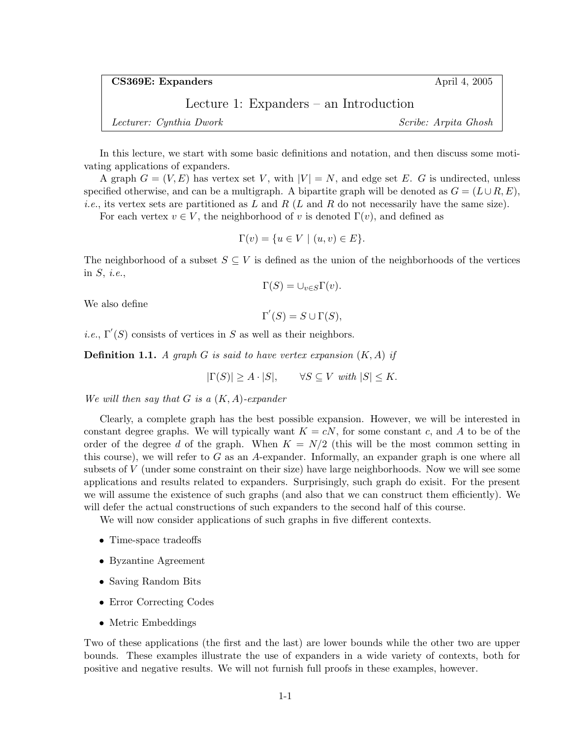CS369E: Expanders April 4, 2005

Lecture 1: Expanders – an Introduction

Lecturer: Cynthia Dwork Scribe: Arpita Ghosh

In this lecture, we start with some basic definitions and notation, and then discuss some motivating applications of expanders.

A graph  $G = (V, E)$  has vertex set V, with  $|V| = N$ , and edge set E. G is undirected, unless specified otherwise, and can be a multigraph. A bipartite graph will be denoted as  $G = (L \cup R, E)$ , *i.e.*, its vertex sets are partitioned as L and R (L and R do not necessarily have the same size).

For each vertex  $v \in V$ , the neighborhood of v is denoted  $\Gamma(v)$ , and defined as

$$
\Gamma(v) = \{ u \in V \mid (u, v) \in E \}.
$$

The neighborhood of a subset  $S \subseteq V$  is defined as the union of the neighborhoods of the vertices in  $S$ , *i.e.*,

$$
\Gamma(S) = \cup_{v \in S} \Gamma(v).
$$

We also define

 $\Gamma'(S) = S \cup \Gamma(S),$ 

*i.e.*,  $\Gamma'(S)$  consists of vertices in S as well as their neighbors.

**Definition 1.1.** A graph G is said to have vertex expansion  $(K, A)$  if

 $|\Gamma(S)| \ge A \cdot |S|$ ,  $\forall S \subseteq V$  with  $|S| \le K$ .

We will then say that  $G$  is a  $(K, A)$ -expander

Clearly, a complete graph has the best possible expansion. However, we will be interested in constant degree graphs. We will typically want  $K = cN$ , for some constant c, and A to be of the order of the degree d of the graph. When  $K = N/2$  (this will be the most common setting in this course), we will refer to  $G$  as an A-expander. Informally, an expander graph is one where all subsets of V (under some constraint on their size) have large neighborhoods. Now we will see some applications and results related to expanders. Surprisingly, such graph do exisit. For the present we will assume the existence of such graphs (and also that we can construct them efficiently). We will defer the actual constructions of such expanders to the second half of this course.

We will now consider applications of such graphs in five different contexts.

- Time-space tradeoffs
- Byzantine Agreement
- Saving Random Bits
- Error Correcting Codes
- Metric Embeddings

Two of these applications (the first and the last) are lower bounds while the other two are upper bounds. These examples illustrate the use of expanders in a wide variety of contexts, both for positive and negative results. We will not furnish full proofs in these examples, however.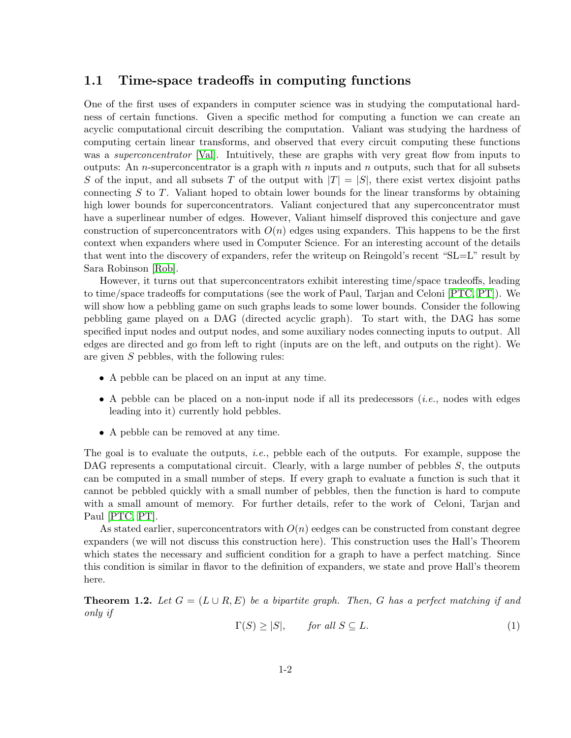### 1.1 Time-space tradeoffs in computing functions

One of the first uses of expanders in computer science was in studying the computational hardness of certain functions. Given a specific method for computing a function we can create an acyclic computational circuit describing the computation. Valiant was studying the hardness of computing certain linear transforms, and observed that every circuit computing these functions was a *superconcentrator* [\[Val\]](#page-7-0). Intuitively, these are graphs with very great flow from inputs to outputs: An *n*-superconcentrator is a graph with *n* inputs and *n* outputs, such that for all subsets S of the input, and all subsets T of the output with  $|T| = |S|$ , there exist vertex disjoint paths connecting  $S$  to  $T$ . Valiant hoped to obtain lower bounds for the linear transforms by obtaining high lower bounds for superconcentrators. Valiant conjectured that any superconcentrator must have a superlinear number of edges. However, Valiant himself disproved this conjecture and gave construction of superconcentrators with  $O(n)$  edges using expanders. This happens to be the first context when expanders where used in Computer Science. For an interesting account of the details that went into the discovery of expanders, refer the writeup on Reingold's recent "SL=L" result by Sara Robinson [\[Rob\]](#page-6-0).

However, it turns out that superconcentrators exhibit interesting time/space tradeoffs, leading to time/space tradeoffs for computations (see the work of Paul, Tarjan and Celoni [\[PTC,](#page-6-1) [PT\]](#page-6-2)). We will show how a pebbling game on such graphs leads to some lower bounds. Consider the following pebbling game played on a DAG (directed acyclic graph). To start with, the DAG has some specified input nodes and output nodes, and some auxiliary nodes connecting inputs to output. All edges are directed and go from left to right (inputs are on the left, and outputs on the right). We are given S pebbles, with the following rules:

- A pebble can be placed on an input at any time.
- A pebble can be placed on a non-input node if all its predecessors  $(i.e.,$  nodes with edges leading into it) currently hold pebbles.
- A pebble can be removed at any time.

The goal is to evaluate the outputs, *i.e.*, pebble each of the outputs. For example, suppose the DAG represents a computational circuit. Clearly, with a large number of pebbles  $S$ , the outputs can be computed in a small number of steps. If every graph to evaluate a function is such that it cannot be pebbled quickly with a small number of pebbles, then the function is hard to compute with a small amount of memory. For further details, refer to the work of Celoni, Tarjan and Paul [\[PTC,](#page-6-1) [PT\]](#page-6-2).

As stated earlier, superconcentrators with  $O(n)$  eedges can be constructed from constant degree expanders (we will not discuss this construction here). This construction uses the Hall's Theorem which states the necessary and sufficient condition for a graph to have a perfect matching. Since this condition is similar in flavor to the definition of expanders, we state and prove Hall's theorem here.

<span id="page-1-0"></span>**Theorem 1.2.** Let  $G = (L \cup R, E)$  be a bipartite graph. Then, G has a perfect matching if and only if

$$
\Gamma(S) \ge |S|, \qquad \text{for all } S \subseteq L. \tag{1}
$$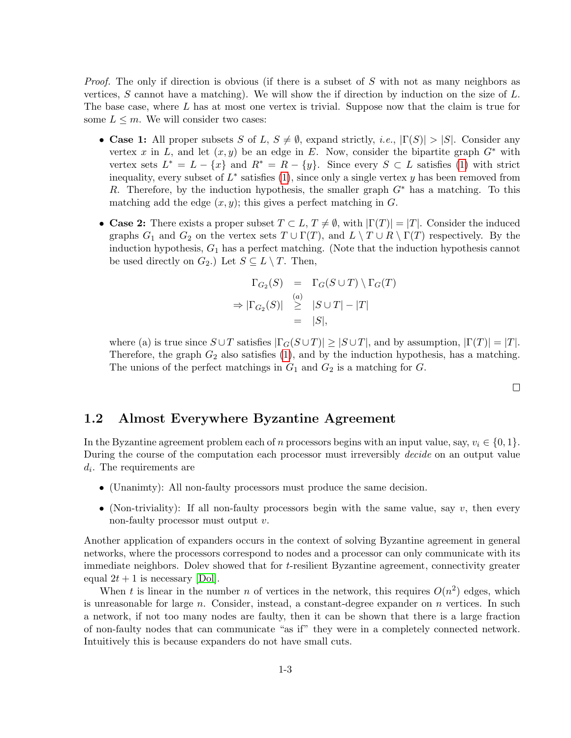Proof. The only if direction is obvious (if there is a subset of S with not as many neighbors as vertices, S cannot have a matching). We will show the if direction by induction on the size of  $L$ . The base case, where L has at most one vertex is trivial. Suppose now that the claim is true for some  $L \leq m$ . We will consider two cases:

- Case 1: All proper subsets S of L,  $S \neq \emptyset$ , expand strictly, i.e.,  $|\Gamma(S)| > |S|$ . Consider any vertex x in L, and let  $(x, y)$  be an edge in E. Now, consider the bipartite graph  $G^*$  with vertex sets  $L^* = L - \{x\}$  and  $R^* = R - \{y\}$ . Since every  $S \subset L$  satisfies [\(1\)](#page-1-0) with strict inequality, every subset of  $L^*$  satisfies [\(1\)](#page-1-0), since only a single vertex y has been removed from R. Therefore, by the induction hypothesis, the smaller graph  $G^*$  has a matching. To this matching add the edge  $(x, y)$ ; this gives a perfect matching in G.
- Case 2: There exists a proper subset  $T \subset L$ ,  $T \neq \emptyset$ , with  $|\Gamma(T)| = |T|$ . Consider the induced graphs  $G_1$  and  $G_2$  on the vertex sets  $T \cup \Gamma(T)$ , and  $L \setminus T \cup R \setminus \Gamma(T)$  respectively. By the induction hypothesis,  $G_1$  has a perfect matching. (Note that the induction hypothesis cannot be used directly on  $G_2$ .) Let  $S \subseteq L \setminus T$ . Then,

$$
\Gamma_{G_2}(S) = \Gamma_G(S \cup T) \setminus \Gamma_G(T)
$$
  
\n
$$
\Rightarrow |\Gamma_{G_2}(S)| \geq |S \cup T| - |T|
$$
  
\n
$$
= |S|,
$$

where (a) is true since  $S \cup T$  satisfies  $|\Gamma_G(S \cup T)| \geq |S \cup T|$ , and by assumption,  $|\Gamma(T)| = |T|$ . Therefore, the graph  $G_2$  also satisfies [\(1\)](#page-1-0), and by the induction hypothesis, has a matching. The unions of the perfect matchings in  $G_1$  and  $G_2$  is a matching for  $G$ .

 $\Box$ 

#### 1.2 Almost Everywhere Byzantine Agreement

In the Byzantine agreement problem each of n processors begins with an input value, say,  $v_i \in \{0, 1\}$ . During the course of the computation each processor must irreversibly *decide* on an output value  $d_i$ . The requirements are

- (Unanimty): All non-faulty processors must produce the same decision.
- (Non-triviality): If all non-faulty processors begin with the same value, say  $v$ , then every non-faulty processor must output v.

Another application of expanders occurs in the context of solving Byzantine agreement in general networks, where the processors correspond to nodes and a processor can only communicate with its immediate neighbors. Dolev showed that for t-resilient Byzantine agreement, connectivity greater equal  $2t + 1$  is necessary [\[Dol\]](#page-6-3).

When t is linear in the number n of vertices in the network, this requires  $O(n^2)$  edges, which is unreasonable for large  $n$ . Consider, instead, a constant-degree expander on  $n$  vertices. In such a network, if not too many nodes are faulty, then it can be shown that there is a large fraction of non-faulty nodes that can communicate "as if" they were in a completely connected network. Intuitively this is because expanders do not have small cuts.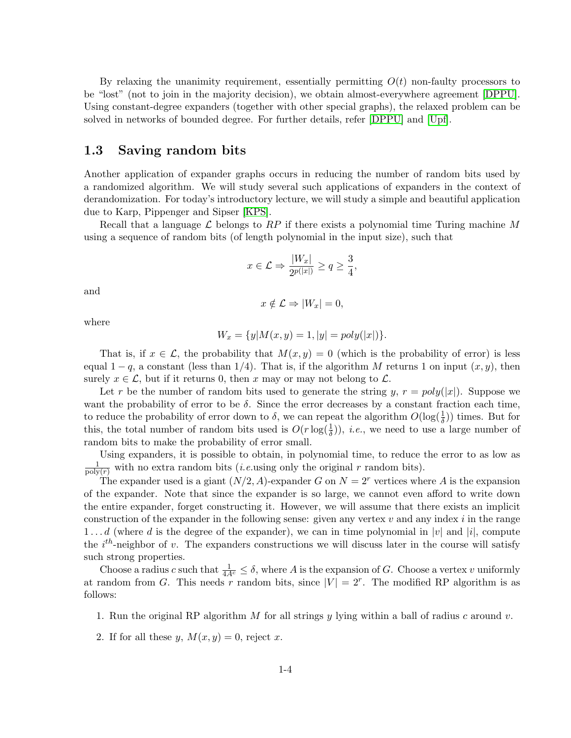By relaxing the unanimity requirement, essentially permitting  $O(t)$  non-faulty processors to be "lost" (not to join in the majority decision), we obtain almost-everywhere agreement [\[DPPU\]](#page-6-4). Using constant-degree expanders (together with other special graphs), the relaxed problem can be solved in networks of bounded degree. For further details, refer [\[DPPU\]](#page-6-4) and [\[Upf\]](#page-7-1).

# 1.3 Saving random bits

Another application of expander graphs occurs in reducing the number of random bits used by a randomized algorithm. We will study several such applications of expanders in the context of derandomization. For today's introductory lecture, we will study a simple and beautiful application due to Karp, Pippenger and Sipser [\[KPS\]](#page-6-5).

Recall that a language  $\mathcal L$  belongs to RP if there exists a polynomial time Turing machine M using a sequence of random bits (of length polynomial in the input size), such that

$$
x \in \mathcal{L} \Rightarrow \frac{|W_x|}{2^{p(|x|)}} \ge q \ge \frac{3}{4},
$$

and

$$
x \notin \mathcal{L} \Rightarrow |W_x| = 0,
$$

where

$$
W_x = \{y | M(x, y) = 1, |y| = poly(|x|)\}.
$$

That is, if  $x \in \mathcal{L}$ , the probability that  $M(x, y) = 0$  (which is the probability of error) is less equal  $1 - q$ , a constant (less than 1/4). That is, if the algorithm M returns 1 on input  $(x, y)$ , then surely  $x \in \mathcal{L}$ , but if it returns 0, then x may or may not belong to  $\mathcal{L}$ .

Let r be the number of random bits used to generate the string y,  $r = poly(|x|)$ . Suppose we want the probability of error to be  $\delta$ . Since the error decreases by a constant fraction each time, to reduce the probability of error down to  $\delta$ , we can repeat the algorithm  $O(\log(\frac{1}{\delta}))$  times. But for this, the total number of random bits used is  $O(r \log(\frac{1}{\delta}))$ , *i.e.*, we need to use a large number of random bits to make the probability of error small.

Using expanders, it is possible to obtain, in polynomial time, to reduce the error to as low as  $\frac{1}{\text{poly}(r)}$  with no extra random bits *(i.e.*using only the original r random bits).

The expander used is a giant  $(N/2, A)$ -expander G on  $N = 2<sup>r</sup>$  vertices where A is the expansion of the expander. Note that since the expander is so large, we cannot even afford to write down the entire expander, forget constructing it. However, we will assume that there exists an implicit construction of the expander in the following sense: given any vertex  $v$  and any index  $i$  in the range  $1 \ldots d$  (where d is the degree of the expander), we can in time polynomial in |v| and |i|, compute the  $i^{th}$ -neighbor of v. The expanders constructions we will discuss later in the course will satisfy such strong properties.

Choose a radius c such that  $\frac{1}{4A^c} \leq \delta$ , where A is the expansion of G. Choose a vertex v uniformly at random from G. This needs r random bits, since  $|V| = 2^r$ . The modified RP algorithm is as follows:

- 1. Run the original RP algorithm M for all strings y lying within a ball of radius c around v.
- 2. If for all these y,  $M(x, y) = 0$ , reject x.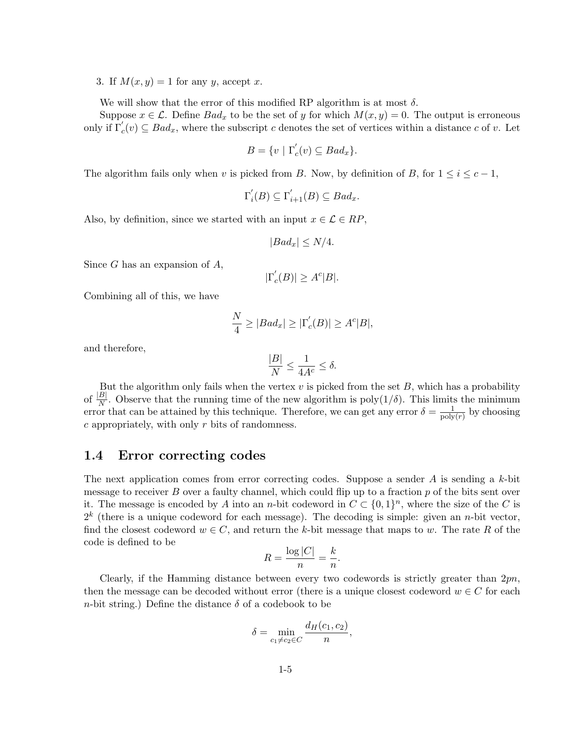3. If  $M(x, y) = 1$  for any y, accept x.

We will show that the error of this modified RP algorithm is at most  $\delta$ .

Suppose  $x \in \mathcal{L}$ . Define  $Bad_x$  to be the set of y for which  $M(x, y) = 0$ . The output is erroneous only if  $\Gamma_c'(v) \subseteq Bad_x$ , where the subscript c denotes the set of vertices within a distance c of v. Let

$$
B = \{ v \mid \Gamma_c'(v) \subseteq Bad_x \}.
$$

The algorithm fails only when v is picked from B. Now, by definition of B, for  $1 \leq i \leq c-1$ ,

$$
\Gamma_i'(B) \subseteq \Gamma_{i+1}'(B) \subseteq Bad_x.
$$

Also, by definition, since we started with an input  $x \in \mathcal{L} \in RP$ ,

$$
|Bad_x| \le N/4.
$$

Since  $G$  has an expansion of  $A$ ,

$$
|\Gamma_c^{'}(B)| \ge A^c|B|.
$$

Combining all of this, we have

$$
\frac{N}{4} \ge |Bad_x| \ge |\Gamma_c'(B)| \ge A^c|B|,
$$

and therefore,

$$
\frac{|B|}{N} \le \frac{1}{4A^c} \le \delta.
$$

But the algorithm only fails when the vertex  $v$  is picked from the set  $B$ , which has a probability of  $\frac{|B|}{N}$ . Observe that the running time of the new algorithm is poly(1/ $\delta$ ). This limits the minimum error that can be attained by this technique. Therefore, we can get any error  $\delta = \frac{1}{20}$  $\frac{1}{\text{poly}(r)}$  by choosing  $c$  appropriately, with only  $r$  bits of randomness.

#### 1.4 Error correcting codes

The next application comes from error correcting codes. Suppose a sender A is sending a k-bit message to receiver  $B$  over a faulty channel, which could flip up to a fraction  $p$  of the bits sent over it. The message is encoded by A into an n-bit codeword in  $C \subset \{0,1\}^n$ , where the size of the C is  $2<sup>k</sup>$  (there is a unique codeword for each message). The decoding is simple: given an *n*-bit vector, find the closest codeword  $w \in C$ , and return the k-bit message that maps to w. The rate R of the code is defined to be

$$
R = \frac{\log|C|}{n} = \frac{k}{n}.
$$

Clearly, if the Hamming distance between every two codewords is strictly greater than  $2pn$ , then the message can be decoded without error (there is a unique closest codeword  $w \in C$  for each n-bit string.) Define the distance  $\delta$  of a codebook to be

$$
\delta = \min_{c_1 \neq c_2 \in C} \frac{d_H(c_1, c_2)}{n},
$$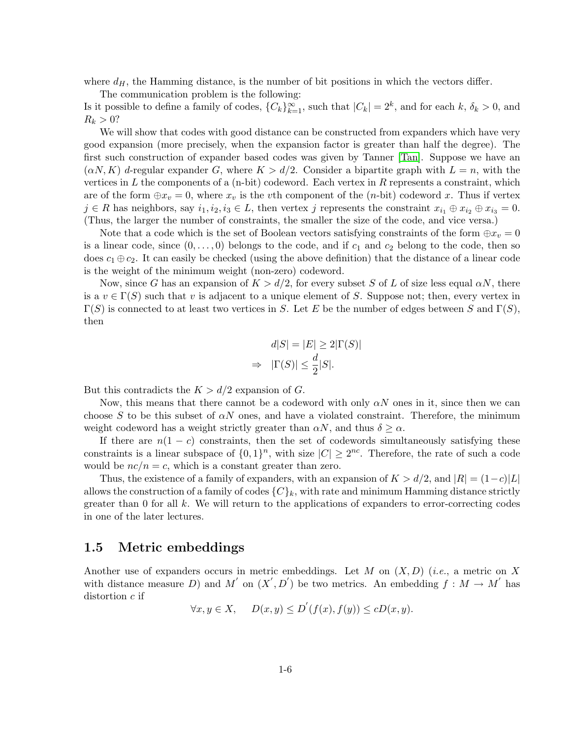where  $d_H$ , the Hamming distance, is the number of bit positions in which the vectors differ.

The communication problem is the following:

Is it possible to define a family of codes,  ${C_k}_{k=1}^{\infty}$ , such that  $|C_k| = 2^k$ , and for each  $k, \delta_k > 0$ , and  $R_k > 0?$ 

We will show that codes with good distance can be constructed from expanders which have very good expansion (more precisely, when the expansion factor is greater than half the degree). The first such construction of expander based codes was given by Tanner [\[Tan\]](#page-7-2). Suppose we have an  $(\alpha N, K)$  d-regular expander G, where  $K > d/2$ . Consider a bipartite graph with  $L = n$ , with the vertices in L the components of a  $(n-bit)$  codeword. Each vertex in R represents a constraint, which are of the form  $\oplus x_v = 0$ , where  $x_v$  is the vth component of the (*n*-bit) codeword x. Thus if vertex  $j \in R$  has neighbors, say  $i_1, i_2, i_3 \in L$ , then vertex j represents the constraint  $x_{i_1} \oplus x_{i_2} \oplus x_{i_3} = 0$ . (Thus, the larger the number of constraints, the smaller the size of the code, and vice versa.)

Note that a code which is the set of Boolean vectors satisfying constraints of the form  $\oplus x_v = 0$ is a linear code, since  $(0, \ldots, 0)$  belongs to the code, and if  $c_1$  and  $c_2$  belong to the code, then so does  $c_1 \oplus c_2$ . It can easily be checked (using the above definition) that the distance of a linear code is the weight of the minimum weight (non-zero) codeword.

Now, since G has an expansion of  $K > d/2$ , for every subset S of L of size less equal  $\alpha N$ , there is a  $v \in \Gamma(S)$  such that v is adjacent to a unique element of S. Suppose not; then, every vertex in  $\Gamma(S)$  is connected to at least two vertices in S. Let E be the number of edges between S and  $\Gamma(S)$ , then

$$
d|S| = |E| \ge 2|\Gamma(S)|
$$
  
\n
$$
\Rightarrow |\Gamma(S)| \le \frac{d}{2}|S|.
$$

But this contradicts the  $K > d/2$  expansion of G.

Now, this means that there cannot be a codeword with only  $\alpha N$  ones in it, since then we can choose S to be this subset of  $\alpha N$  ones, and have a violated constraint. Therefore, the minimum weight codeword has a weight strictly greater than  $\alpha N$ , and thus  $\delta \geq \alpha$ .

If there are  $n(1 - c)$  constraints, then the set of codewords simultaneously satisfying these constraints is a linear subspace of  $\{0,1\}^n$ , with size  $|C| \geq 2^{nc}$ . Therefore, the rate of such a code would be  $nc/n = c$ , which is a constant greater than zero.

Thus, the existence of a family of expanders, with an expansion of  $K > d/2$ , and  $|R| = (1-c)|L|$ allows the construction of a family of codes  $\{C\}_k$ , with rate and minimum Hamming distance strictly greater than 0 for all k. We will return to the applications of expanders to error-correcting codes in one of the later lectures.

#### 1.5 Metric embeddings

Another use of expanders occurs in metric embeddings. Let  $M$  on  $(X, D)$  (*i.e.*, a metric on X with distance measure D) and M' on  $(X', D')$  be two metrics. An embedding  $f : M \to M'$  has distortion  $c$  if

$$
\forall x, y \in X, \quad D(x, y) \le D'(f(x), f(y)) \le cD(x, y).
$$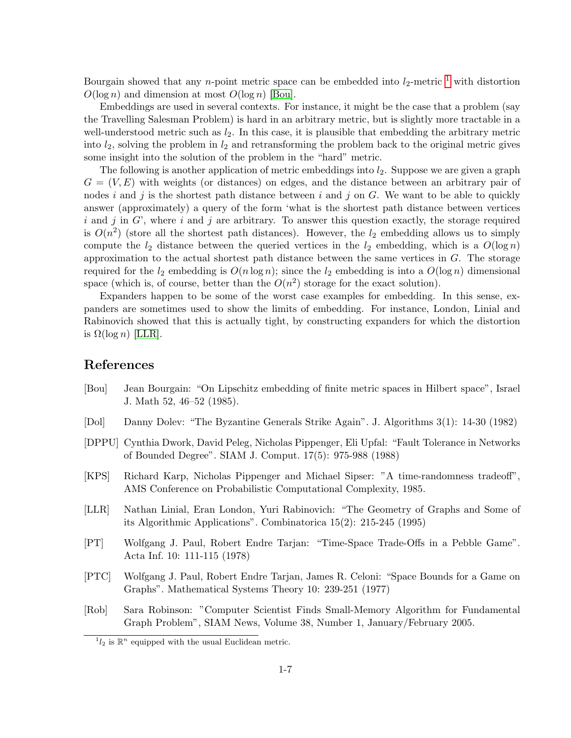Bourgain showed that any *n*-point metric space can be embedded into  $l_2$ -metric <sup>[1](#page-6-6)</sup> with distortion  $O(\log n)$  and dimension at most  $O(\log n)$  [\[Bou\]](#page-6-7).

Embeddings are used in several contexts. For instance, it might be the case that a problem (say the Travelling Salesman Problem) is hard in an arbitrary metric, but is slightly more tractable in a well-understood metric such as  $l_2$ . In this case, it is plausible that embedding the arbitrary metric into  $l_2$ , solving the problem in  $l_2$  and retransforming the problem back to the original metric gives some insight into the solution of the problem in the "hard" metric.

The following is another application of metric embeddings into  $l_2$ . Suppose we are given a graph  $G = (V, E)$  with weights (or distances) on edges, and the distance between an arbitrary pair of nodes i and j is the shortest path distance between i and j on G. We want to be able to quickly answer (approximately) a query of the form 'what is the shortest path distance between vertices  $i$  and  $j$  in  $G'$ , where  $i$  and  $j$  are arbitrary. To answer this question exactly, the storage required is  $O(n^2)$  (store all the shortest path distances). However, the  $l_2$  embedding allows us to simply compute the  $l_2$  distance between the queried vertices in the  $l_2$  embedding, which is a  $O(\log n)$ approximation to the actual shortest path distance between the same vertices in G. The storage required for the  $l_2$  embedding is  $O(n \log n)$ ; since the  $l_2$  embedding is into a  $O(\log n)$  dimensional space (which is, of course, better than the  $O(n^2)$  storage for the exact solution).

Expanders happen to be some of the worst case examples for embedding. In this sense, expanders are sometimes used to show the limits of embedding. For instance, London, Linial and Rabinovich showed that this is actually tight, by constructing expanders for which the distortion is  $\Omega(\log n)$  [\[LLR\]](#page-6-8).

# References

- <span id="page-6-7"></span>[Bou] Jean Bourgain: "On Lipschitz embedding of finite metric spaces in Hilbert space", Israel J. Math 52, 46–52 (1985).
- <span id="page-6-3"></span>[Dol] Danny Dolev: "The Byzantine Generals Strike Again". J. Algorithms 3(1): 14-30 (1982)
- <span id="page-6-4"></span>[DPPU] Cynthia Dwork, David Peleg, Nicholas Pippenger, Eli Upfal: "Fault Tolerance in Networks of Bounded Degree". SIAM J. Comput. 17(5): 975-988 (1988)
- <span id="page-6-5"></span>[KPS] Richard Karp, Nicholas Pippenger and Michael Sipser: "A time-randomness tradeoff", AMS Conference on Probabilistic Computational Complexity, 1985.
- <span id="page-6-8"></span>[LLR] Nathan Linial, Eran London, Yuri Rabinovich: "The Geometry of Graphs and Some of its Algorithmic Applications". Combinatorica 15(2): 215-245 (1995)
- <span id="page-6-2"></span>[PT] Wolfgang J. Paul, Robert Endre Tarjan: "Time-Space Trade-Offs in a Pebble Game". Acta Inf. 10: 111-115 (1978)
- <span id="page-6-1"></span>[PTC] Wolfgang J. Paul, Robert Endre Tarjan, James R. Celoni: "Space Bounds for a Game on Graphs". Mathematical Systems Theory 10: 239-251 (1977)
- <span id="page-6-0"></span>[Rob] Sara Robinson: "Computer Scientist Finds Small-Memory Algorithm for Fundamental Graph Problem", SIAM News, Volume 38, Number 1, January/February 2005.

<span id="page-6-6"></span> $^{1}l_{2}$  is  $\mathbb{R}^{n}$  equipped with the usual Euclidean metric.